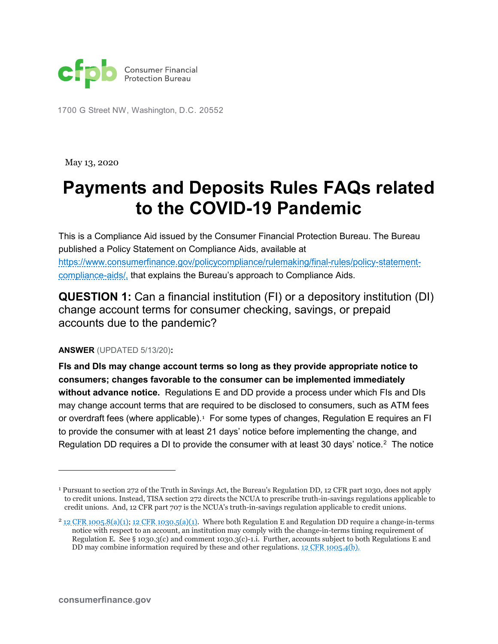

1700 G Street NW, Washington, D.C. 20552

May 13, 2020

## **Payments and Deposits Rules FAQs related to the COVID-19 Pandemic**

This is a Compliance Aid issued by the Consumer Financial Protection Bureau. The Bureau published a Policy Statement on Compliance Aids, available at [https://www.consumerfinance.gov/policycompliance/rulemaking/final-rules/policy-statement](https://www.consumerfinance.gov/policycompliance/rulemaking/final-rules/policy-statement-compliance-aids/,)[compliance-aids/,](https://www.consumerfinance.gov/policycompliance/rulemaking/final-rules/policy-statement-compliance-aids/,) that explains the Bureau's approach to Compliance Aids.

**QUESTION 1:** Can a financial institution (FI) or a depository institution (DI) change account terms for consumer checking, savings, or prepaid accounts due to the pandemic?

## **ANSWER** (UPDATED 5/13/20)**:**

**FIs and DIs may change account terms so long as they provide appropriate notice to consumers; changes favorable to the consumer can be implemented immediately without advance notice.** Regulations E and DD provide a process under which FIs and DIs may change account terms that are required to be disclosed to consumers, such as ATM fees or overdraft fees (where applicable). $^{\rm _1}$  $^{\rm _1}$  $^{\rm _1}$  For some types of changes, Regulation E requires an FI to provide the consumer with at least 21 days' notice before implementing the change, and Regulation DD requires a DI to provide the consumer with at least 30 days' notice.<sup>[2](#page-0-1)</sup> The notice

1

<span id="page-0-0"></span><sup>1</sup> Pursuant to section 272 of the Truth in Savings Act, the Bureau's Regulation DD, 12 CFR part 1030, does not apply to credit unions. Instead, TISA section 272 directs the NCUA to prescribe truth-in-savings regulations applicable to credit unions. And, 12 CFR part 707 is the NCUA's truth-in-savings regulation applicable to credit unions.

<span id="page-0-1"></span> $2$  [12 CFR 1005.8\(a\)\(1\);](https://www.consumerfinance.gov/policy-compliance/rulemaking/regulations/1005/8/#a-1) [12 CFR 1030.5\(a\)\(1\).](https://www.consumerfinance.gov/policy-compliance/rulemaking/regulations/1030/5/#a-1) Where both Regulation E and Regulation DD require a change-in-terms notice with respect to an account, an institution may comply with the change-in-terms timing requirement of Regulation E. See § 1030.3(c) and comment 1030.3(c)-1.i. Further, accounts subject to both Regulations E and DD may combine information required by these and other regulations. [12 CFR 1005.4\(b\).](https://www.consumerfinance.gov/policy-compliance/rulemaking/regulations/1005/4/#b)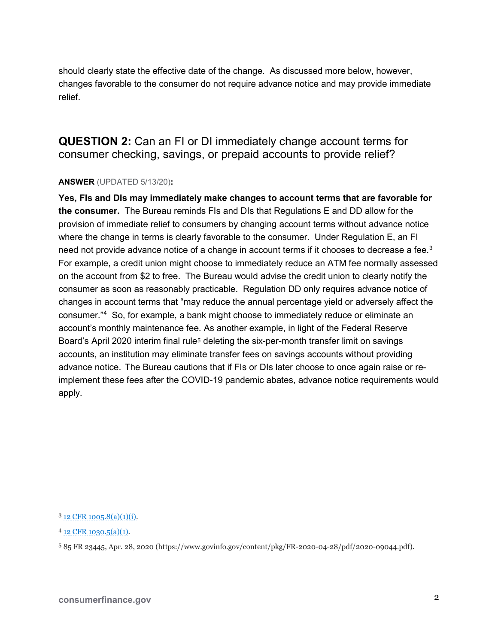should clearly state the effective date of the change. As discussed more below, however, changes favorable to the consumer do not require advance notice and may provide immediate relief.

**QUESTION 2:** Can an FI or DI immediately change account terms for consumer checking, savings, or prepaid accounts to provide relief?

## **ANSWER** (UPDATED 5/13/20)**:**

**Yes, FIs and DIs may immediately make changes to account terms that are favorable for the consumer.** The Bureau reminds FIs and DIs that Regulations E and DD allow for the provision of immediate relief to consumers by changing account terms without advance notice where the change in terms is clearly favorable to the consumer. Under Regulation E, an FI need not provide advance notice of a change in account terms if it chooses to decrease a fee. $^3$  $^3$ For example, a credit union might choose to immediately reduce an ATM fee normally assessed on the account from \$2 to free. The Bureau would advise the credit union to clearly notify the consumer as soon as reasonably practicable. Regulation DD only requires advance notice of changes in account terms that "may reduce the annual percentage yield or adversely affect the consumer."[4](#page-1-1) So, for example, a bank might choose to immediately reduce or eliminate an account's monthly maintenance fee. As another example, in light of the Federal Reserve Board's April 2020 interim final rule<sup>[5](#page-1-2)</sup> deleting the six-per-month transfer limit on savings accounts, an institution may eliminate transfer fees on savings accounts without providing advance notice. The Bureau cautions that if FIs or DIs later choose to once again raise or reimplement these fees after the COVID-19 pandemic abates, advance notice requirements would apply.

1

<span id="page-1-0"></span> $3$  [12 CFR 1005.8\(a\)\(1\)\(i\).](https://www.consumerfinance.gov/policy-compliance/rulemaking/regulations/1005/8/#a-1-i)

<span id="page-1-1"></span> $4$  [12 CFR 1030.5\(a\)\(1\).](https://www.consumerfinance.gov/policy-compliance/rulemaking/regulations/1030/5/#a-1)

<span id="page-1-2"></span><sup>5</sup> 85 FR 23445, Apr. 28, 2020 (https://www.govinfo.gov/content/pkg/FR-2020-04-28/pdf/2020-09044.pdf).